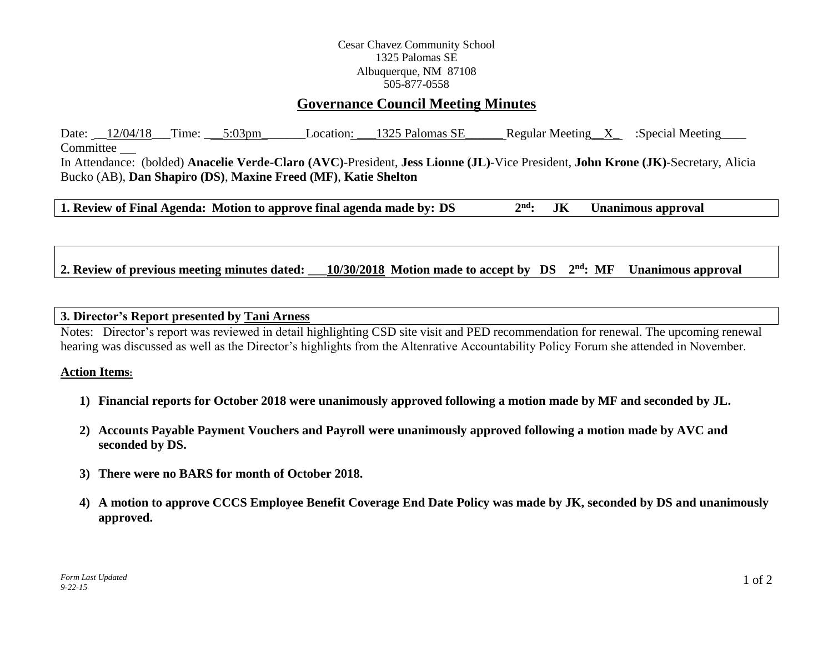### Cesar Chavez Community School 1325 Palomas SE Albuquerque, NM 87108 505-877-0558

# **Governance Council Meeting Minutes**

Date:  $12/04/18$  Time:  $5:03$ pm Location:  $1325$  Palomas SE Regular Meeting X :Special Meeting Committee In Attendance: (bolded) **Anacelie Verde-Claro (AVC)**-President, **Jess Lionne (JL)**-Vice President, **John Krone (JK)**-Secretary, Alicia Bucko (AB), **Dan Shapiro (DS)**, **Maxine Freed (MF)**, **Katie Shelton**

**1. Review of Final Agenda: Motion to approve final agenda made by: DS 2 nd: JK Unanimous approval**

2. Review of previous meeting minutes dated:  $10/30/2018$  Motion made to accept by DS  $2<sup>nd</sup>$ : MF **Unanimous approval** 

#### **3. Director's Report presented by Tani Arness**

Notes: Director's report was reviewed in detail highlighting CSD site visit and PED recommendation for renewal. The upcoming renewal hearing was discussed as well as the Director's highlights from the Altenrative Accountability Policy Forum she attended in November.

#### **Action Items:**

- **1) Financial reports for October 2018 were unanimously approved following a motion made by MF and seconded by JL.**
- **2) Accounts Payable Payment Vouchers and Payroll were unanimously approved following a motion made by AVC and seconded by DS.**
- **3) There were no BARS for month of October 2018.**
- **4) A motion to approve CCCS Employee Benefit Coverage End Date Policy was made by JK, seconded by DS and unanimously approved.**